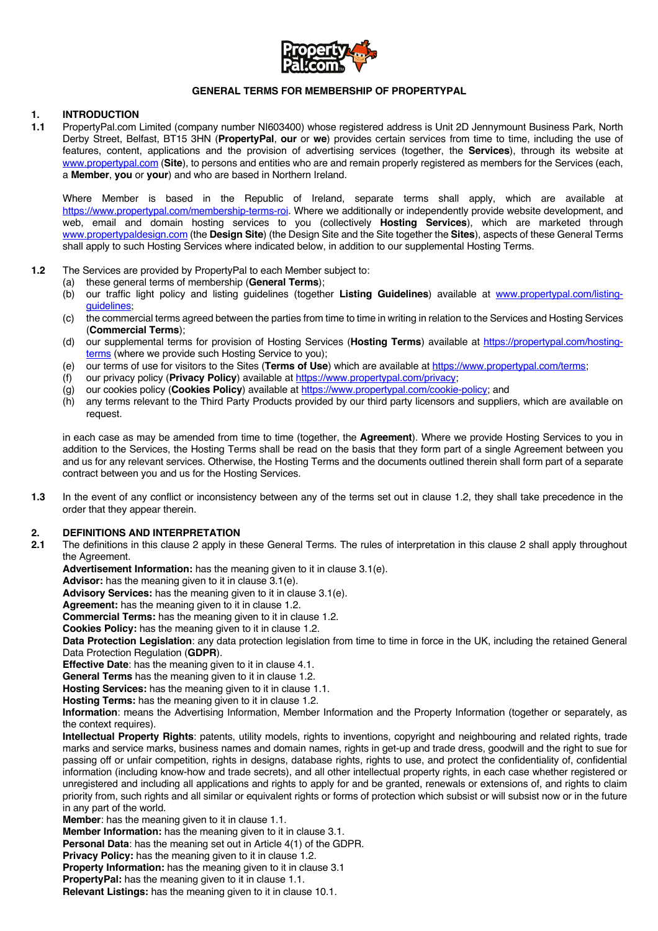

### **GENERAL TERMS FOR MEMBERSHIP OF PROPERTYPAL**

### **1. INTRODUCTION**

**1.1** PropertyPal.com Limited (company number NI603400) whose registered address is Unit 2D Jennymount Business Park, North Derby Street, Belfast, BT15 3HN (**PropertyPal**, **our** or **we**) provides certain services from time to time, including the use of features, content, applications and the provision of advertising services (together, the **Services**), through its website at www.propertypal.com (**Site**), to persons and entities who are and remain properly registered as members for the Services (each, a **Member**, **you** or **your**) and who are based in Northern Ireland.

Where Member is based in the Republic of Ireland, separate terms shall apply, which are available at https://www.propertypal.com/membership-terms-roi. Where we additionally or independently provide website development, and web, email and domain hosting services to you (collectively **Hosting Services**), which are marketed through www.propertypaldesign.com (the **Design Site**) (the Design Site and the Site together the **Sites**), aspects of these General Terms shall apply to such Hosting Services where indicated below, in addition to our supplemental Hosting Terms.

- **1.2** The Services are provided by PropertyPal to each Member subject to:
	- (a) these general terms of membership (**General Terms**);
	- (b) our traffic light policy and listing guidelines (together **Listing Guidelines**) available at www.propertypal.com/listingguidelines;
	- (c) the commercial terms agreed between the parties from time to time in writing in relation to the Services and Hosting Services (**Commercial Terms**);
	- (d) our supplemental terms for provision of Hosting Services (**Hosting Terms**) available at https://propertypal.com/hostingterms (where we provide such Hosting Service to you);
	- (e) our terms of use for visitors to the Sites (**Terms of Use**) which are available at https://www.propertypal.com/terms;
	- (f) our privacy policy (**Privacy Policy**) available at https://www.propertypal.com/privacy;
	- (g) our cookies policy (**Cookies Policy**) available at https://www.propertypal.com/cookie-policy; and
	- (h) any terms relevant to the Third Party Products provided by our third party licensors and suppliers, which are available on request.

in each case as may be amended from time to time (together, the **Agreement**). Where we provide Hosting Services to you in addition to the Services, the Hosting Terms shall be read on the basis that they form part of a single Agreement between you and us for any relevant services. Otherwise, the Hosting Terms and the documents outlined therein shall form part of a separate contract between you and us for the Hosting Services.

**1.3** In the event of any conflict or inconsistency between any of the terms set out in clause 1.2, they shall take precedence in the order that they appear therein.

#### **2. DEFINITIONS AND INTERPRETATION**

**2.1** The definitions in this clause 2 apply in these General Terms. The rules of interpretation in this clause 2 shall apply throughout the Agreement.

**Advertisement Information:** has the meaning given to it in clause 3.1(e).

**Advisor:** has the meaning given to it in clause 3.1(e).

**Advisory Services:** has the meaning given to it in clause 3.1(e).

**Agreement:** has the meaning given to it in clause 1.2.

**Commercial Terms:** has the meaning given to it in clause 1.2.

**Cookies Policy:** has the meaning given to it in clause 1.2.

**Data Protection Legislation**: any data protection legislation from time to time in force in the UK, including the retained General Data Protection Regulation (**GDPR**).

**Effective Date**: has the meaning given to it in clause 4.1.

**General Terms** has the meaning given to it in clause 1.2.

**Hosting Services:** has the meaning given to it in clause 1.1.

**Hosting Terms:** has the meaning given to it in clause 1.2.

**Information**: means the Advertising Information, Member Information and the Property Information (together or separately, as the context requires).

**Intellectual Property Rights**: patents, utility models, rights to inventions, copyright and neighbouring and related rights, trade marks and service marks, business names and domain names, rights in get-up and trade dress, goodwill and the right to sue for passing off or unfair competition, rights in designs, database rights, rights to use, and protect the confidentiality of, confidential information (including know-how and trade secrets), and all other intellectual property rights, in each case whether registered or unregistered and including all applications and rights to apply for and be granted, renewals or extensions of, and rights to claim priority from, such rights and all similar or equivalent rights or forms of protection which subsist or will subsist now or in the future in any part of the world.

**Member:** has the meaning given to it in clause 1.1.

**Member Information:** has the meaning given to it in clause 3.1.

**Personal Data**: has the meaning set out in Article 4(1) of the GDPR.

**Privacy Policy:** has the meaning given to it in clause 1.2.

**Property Information:** has the meaning given to it in clause 3.1

**PropertyPal:** has the meaning given to it in clause 1.1.

**Relevant Listings:** has the meaning given to it in clause 10.1.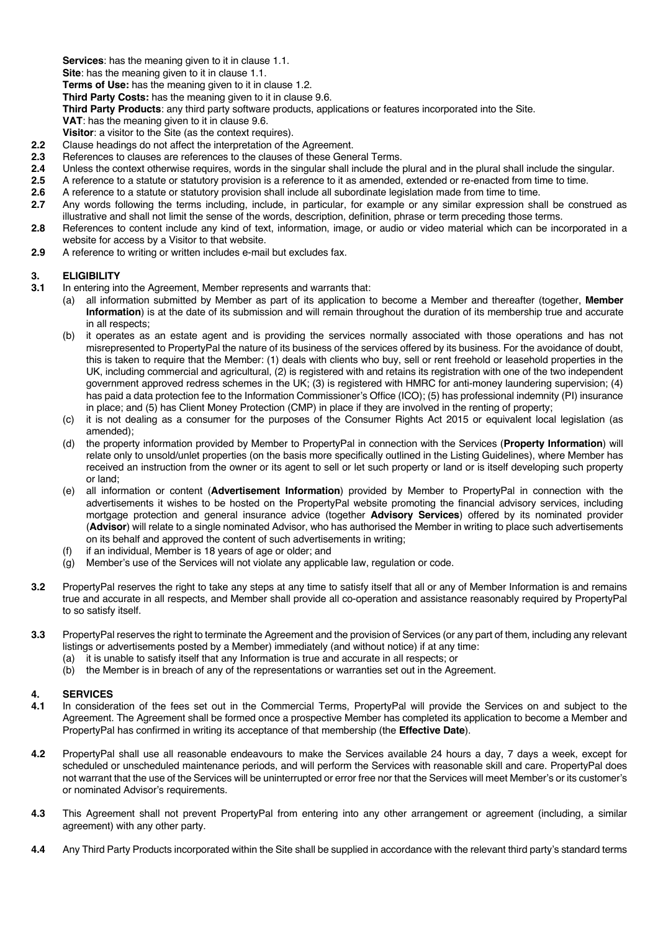**Services**: has the meaning given to it in clause 1.1.

**Site**: has the meaning given to it in clause 1.1.

**Terms of Use:** has the meaning given to it in clause 1.2.

**Third Party Costs:** has the meaning given to it in clause 9.6.

**Third Party Products**: any third party software products, applications or features incorporated into the Site.

- **VAT**: has the meaning given to it in clause 9.6.
- **Visitor**: a visitor to the Site (as the context requires).
- 2.2 Clause headings do not affect the interpretation of the Agreement.<br>**2.3** References to clauses are references to the clauses of these Gene
- **2.3** References to clauses are references to the clauses of these General Terms.<br>**2.4** Unless the context otherwise requires, words in the singular shall include the
- **2.4** Unless the context otherwise requires, words in the singular shall include the plural and in the plural shall include the singular.
- **2.5** A reference to a statute or statutory provision is a reference to it as amended, extended or re-enacted from time to time.
- **2.6** A reference to a statute or statutory provision shall include all subordinate legislation made from time to time.
- **2.7** Any words following the terms including, include, in particular, for example or any similar expression shall be construed as illustrative and shall not limit the sense of the words, description, definition, phrase or term preceding those terms.
- **2.8** References to content include any kind of text, information, image, or audio or video material which can be incorporated in a website for access by a Visitor to that website.
- **2.9** A reference to writing or written includes e-mail but excludes fax.

### **3. ELIGIBILITY**

- **3.1** In entering into the Agreement, Member represents and warrants that:
	- (a) all information submitted by Member as part of its application to become a Member and thereafter (together, **Member Information**) is at the date of its submission and will remain throughout the duration of its membership true and accurate in all respects;
	- (b) it operates as an estate agent and is providing the services normally associated with those operations and has not misrepresented to PropertyPal the nature of its business of the services offered by its business. For the avoidance of doubt, this is taken to require that the Member: (1) deals with clients who buy, sell or rent freehold or leasehold properties in the UK, including commercial and agricultural, (2) is registered with and retains its registration with one of the two independent government approved redress schemes in the UK; (3) is registered with HMRC for anti-money laundering supervision; (4) has paid a data protection fee to the Information Commissioner's Office (ICO); (5) has professional indemnity (PI) insurance in place; and (5) has Client Money Protection (CMP) in place if they are involved in the renting of property;
	- (c) it is not dealing as a consumer for the purposes of the Consumer Rights Act 2015 or equivalent local legislation (as amended);
	- (d) the property information provided by Member to PropertyPal in connection with the Services (**Property Information**) will relate only to unsold/unlet properties (on the basis more specifically outlined in the Listing Guidelines), where Member has received an instruction from the owner or its agent to sell or let such property or land or is itself developing such property or land;
	- (e) all information or content (**Advertisement Information**) provided by Member to PropertyPal in connection with the advertisements it wishes to be hosted on the PropertyPal website promoting the financial advisory services, including mortgage protection and general insurance advice (together **Advisory Services**) offered by its nominated provider (**Advisor**) will relate to a single nominated Advisor, who has authorised the Member in writing to place such advertisements on its behalf and approved the content of such advertisements in writing;
	- (f) if an individual, Member is 18 years of age or older; and
	- (g) Member's use of the Services will not violate any applicable law, regulation or code.
- **3.2** PropertyPal reserves the right to take any steps at any time to satisfy itself that all or any of Member Information is and remains true and accurate in all respects, and Member shall provide all co-operation and assistance reasonably required by PropertyPal to so satisfy itself.
- **3.3** PropertyPal reserves the right to terminate the Agreement and the provision of Services (or any part of them, including any relevant listings or advertisements posted by a Member) immediately (and without notice) if at any time:
	- (a) it is unable to satisfy itself that any Information is true and accurate in all respects; or
	- (b) the Member is in breach of any of the representations or warranties set out in the Agreement.

# **4. SERVICES**

- **4.1** In consideration of the fees set out in the Commercial Terms, PropertyPal will provide the Services on and subject to the Agreement. The Agreement shall be formed once a prospective Member has completed its application to become a Member and PropertyPal has confirmed in writing its acceptance of that membership (the **Effective Date**).
- **4.2** PropertyPal shall use all reasonable endeavours to make the Services available 24 hours a day, 7 days a week, except for scheduled or unscheduled maintenance periods, and will perform the Services with reasonable skill and care. PropertyPal does not warrant that the use of the Services will be uninterrupted or error free nor that the Services will meet Member's or its customer's or nominated Advisor's requirements.
- **4.3** This Agreement shall not prevent PropertyPal from entering into any other arrangement or agreement (including, a similar agreement) with any other party.
- **4.4** Any Third Party Products incorporated within the Site shall be supplied in accordance with the relevant third party's standard terms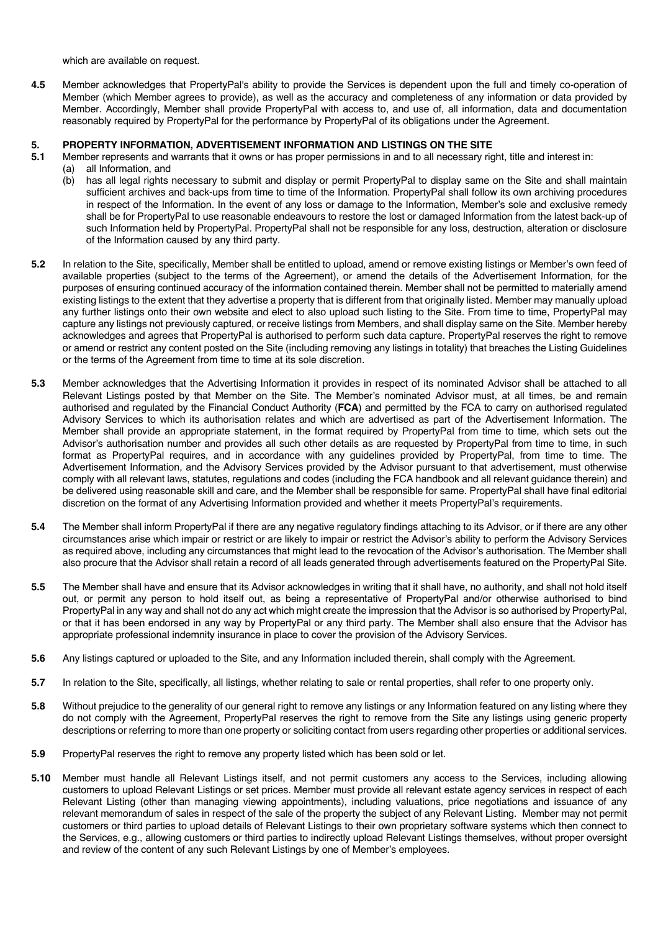which are available on request.

**4.5** Member acknowledges that PropertyPal's ability to provide the Services is dependent upon the full and timely co-operation of Member (which Member agrees to provide), as well as the accuracy and completeness of any information or data provided by Member. Accordingly, Member shall provide PropertyPal with access to, and use of, all information, data and documentation reasonably required by PropertyPal for the performance by PropertyPal of its obligations under the Agreement.

# **5. PROPERTY INFORMATION, ADVERTISEMENT INFORMATION AND LISTINGS ON THE SITE**

- **5.1** Member represents and warrants that it owns or has proper permissions in and to all necessary right, title and interest in:
	- (a) all Information, and
	- (b) has all legal rights necessary to submit and display or permit PropertyPal to display same on the Site and shall maintain sufficient archives and back-ups from time to time of the Information. PropertyPal shall follow its own archiving procedures in respect of the Information. In the event of any loss or damage to the Information, Member's sole and exclusive remedy shall be for PropertyPal to use reasonable endeavours to restore the lost or damaged Information from the latest back-up of such Information held by PropertyPal. PropertyPal shall not be responsible for any loss, destruction, alteration or disclosure of the Information caused by any third party.
- **5.2** In relation to the Site, specifically, Member shall be entitled to upload, amend or remove existing listings or Member's own feed of available properties (subject to the terms of the Agreement), or amend the details of the Advertisement Information, for the purposes of ensuring continued accuracy of the information contained therein. Member shall not be permitted to materially amend existing listings to the extent that they advertise a property that is different from that originally listed. Member may manually upload any further listings onto their own website and elect to also upload such listing to the Site. From time to time, PropertyPal may capture any listings not previously captured, or receive listings from Members, and shall display same on the Site. Member hereby acknowledges and agrees that PropertyPal is authorised to perform such data capture. PropertyPal reserves the right to remove or amend or restrict any content posted on the Site (including removing any listings in totality) that breaches the Listing Guidelines or the terms of the Agreement from time to time at its sole discretion.
- **5.3** Member acknowledges that the Advertising Information it provides in respect of its nominated Advisor shall be attached to all Relevant Listings posted by that Member on the Site. The Member's nominated Advisor must, at all times, be and remain authorised and regulated by the Financial Conduct Authority (**FCA**) and permitted by the FCA to carry on authorised regulated Advisory Services to which its authorisation relates and which are advertised as part of the Advertisement Information. The Member shall provide an appropriate statement, in the format required by PropertyPal from time to time, which sets out the Advisor's authorisation number and provides all such other details as are requested by PropertyPal from time to time, in such format as PropertyPal requires, and in accordance with any guidelines provided by PropertyPal, from time to time. The Advertisement Information, and the Advisory Services provided by the Advisor pursuant to that advertisement, must otherwise comply with all relevant laws, statutes, regulations and codes (including the FCA handbook and all relevant guidance therein) and be delivered using reasonable skill and care, and the Member shall be responsible for same. PropertyPal shall have final editorial discretion on the format of any Advertising Information provided and whether it meets PropertyPal's requirements.
- **5.4** The Member shall inform PropertyPal if there are any negative regulatory findings attaching to its Advisor, or if there are any other circumstances arise which impair or restrict or are likely to impair or restrict the Advisor's ability to perform the Advisory Services as required above, including any circumstances that might lead to the revocation of the Advisor's authorisation. The Member shall also procure that the Advisor shall retain a record of all leads generated through advertisements featured on the PropertyPal Site.
- **5.5** The Member shall have and ensure that its Advisor acknowledges in writing that it shall have, no authority, and shall not hold itself out, or permit any person to hold itself out, as being a representative of PropertyPal and/or otherwise authorised to bind PropertyPal in any way and shall not do any act which might create the impression that the Advisor is so authorised by PropertyPal, or that it has been endorsed in any way by PropertyPal or any third party. The Member shall also ensure that the Advisor has appropriate professional indemnity insurance in place to cover the provision of the Advisory Services.
- **5.6** Any listings captured or uploaded to the Site, and any Information included therein, shall comply with the Agreement.
- **5.7** In relation to the Site, specifically, all listings, whether relating to sale or rental properties, shall refer to one property only.
- **5.8** Without prejudice to the generality of our general right to remove any listings or any Information featured on any listing where they do not comply with the Agreement, PropertyPal reserves the right to remove from the Site any listings using generic property descriptions or referring to more than one property or soliciting contact from users regarding other properties or additional services.
- **5.9** PropertyPal reserves the right to remove any property listed which has been sold or let.
- **5.10** Member must handle all Relevant Listings itself, and not permit customers any access to the Services, including allowing customers to upload Relevant Listings or set prices. Member must provide all relevant estate agency services in respect of each Relevant Listing (other than managing viewing appointments), including valuations, price negotiations and issuance of any relevant memorandum of sales in respect of the sale of the property the subject of any Relevant Listing. Member may not permit customers or third parties to upload details of Relevant Listings to their own proprietary software systems which then connect to the Services, e.g., allowing customers or third parties to indirectly upload Relevant Listings themselves, without proper oversight and review of the content of any such Relevant Listings by one of Member's employees.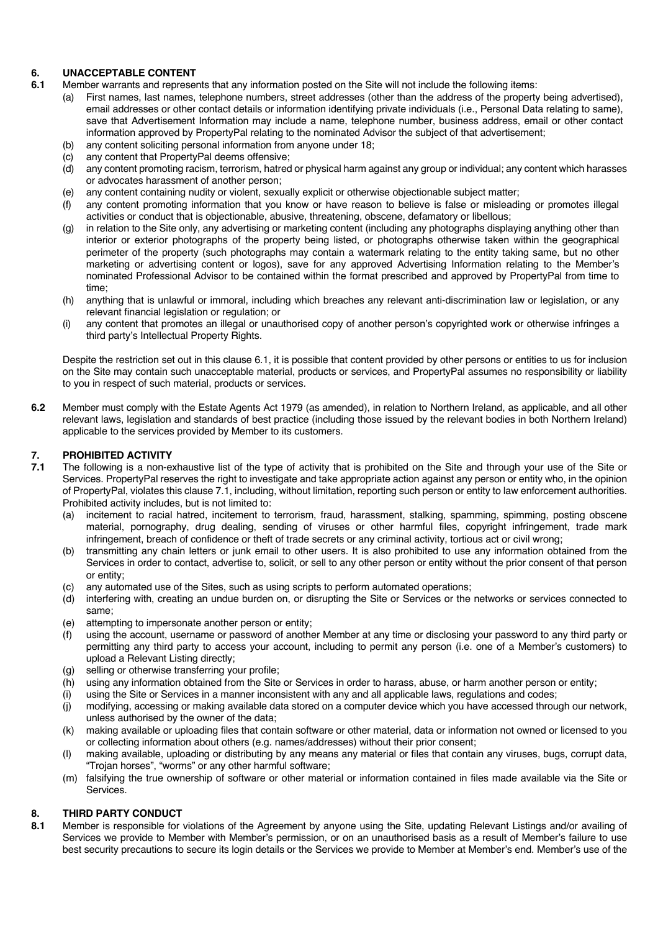# **6. UNACCEPTABLE CONTENT**

- **6.1** Member warrants and represents that any information posted on the Site will not include the following items:
	- (a) First names, last names, telephone numbers, street addresses (other than the address of the property being advertised), email addresses or other contact details or information identifying private individuals (i.e., Personal Data relating to same), save that Advertisement Information may include a name, telephone number, business address, email or other contact information approved by PropertyPal relating to the nominated Advisor the subject of that advertisement;
	- (b) any content soliciting personal information from anyone under 18;
	- (c) any content that PropertyPal deems offensive;
	- (d) any content promoting racism, terrorism, hatred or physical harm against any group or individual; any content which harasses or advocates harassment of another person;
	- (e) any content containing nudity or violent, sexually explicit or otherwise objectionable subject matter;
	- (f) any content promoting information that you know or have reason to believe is false or misleading or promotes illegal activities or conduct that is objectionable, abusive, threatening, obscene, defamatory or libellous;
	- (g) in relation to the Site only, any advertising or marketing content (including any photographs displaying anything other than interior or exterior photographs of the property being listed, or photographs otherwise taken within the geographical perimeter of the property (such photographs may contain a watermark relating to the entity taking same, but no other marketing or advertising content or logos), save for any approved Advertising Information relating to the Member's nominated Professional Advisor to be contained within the format prescribed and approved by PropertyPal from time to time;
	- (h) anything that is unlawful or immoral, including which breaches any relevant anti-discrimination law or legislation, or any relevant financial legislation or regulation; or
	- (i) any content that promotes an illegal or unauthorised copy of another person's copyrighted work or otherwise infringes a third party's Intellectual Property Rights.

Despite the restriction set out in this clause 6.1, it is possible that content provided by other persons or entities to us for inclusion on the Site may contain such unacceptable material, products or services, and PropertyPal assumes no responsibility or liability to you in respect of such material, products or services.

**6.2** Member must comply with the Estate Agents Act 1979 (as amended), in relation to Northern Ireland, as applicable, and all other relevant laws, legislation and standards of best practice (including those issued by the relevant bodies in both Northern Ireland) applicable to the services provided by Member to its customers.

# **7. PROHIBITED ACTIVITY**<br>**7.1** The following is a non-ex-

- **7.1** The following is a non-exhaustive list of the type of activity that is prohibited on the Site and through your use of the Site or Services. PropertyPal reserves the right to investigate and take appropriate action against any person or entity who, in the opinion of PropertyPal, violates this clause 7.1, including, without limitation, reporting such person or entity to law enforcement authorities. Prohibited activity includes, but is not limited to:
	- (a) incitement to racial hatred, incitement to terrorism, fraud, harassment, stalking, spamming, spimming, posting obscene material, pornography, drug dealing, sending of viruses or other harmful files, copyright infringement, trade mark infringement, breach of confidence or theft of trade secrets or any criminal activity, tortious act or civil wrong;
	- (b) transmitting any chain letters or junk email to other users. It is also prohibited to use any information obtained from the Services in order to contact, advertise to, solicit, or sell to any other person or entity without the prior consent of that person or entity;
	- (c) any automated use of the Sites, such as using scripts to perform automated operations;
	- (d) interfering with, creating an undue burden on, or disrupting the Site or Services or the networks or services connected to same;
	- (e) attempting to impersonate another person or entity;
	- (f) using the account, username or password of another Member at any time or disclosing your password to any third party or permitting any third party to access your account, including to permit any person (i.e. one of a Member's customers) to upload a Relevant Listing directly;
	- (g) selling or otherwise transferring your profile;
	- (h) using any information obtained from the Site or Services in order to harass, abuse, or harm another person or entity;
	- (i) using the Site or Services in a manner inconsistent with any and all applicable laws, regulations and codes;
	- (j) modifying, accessing or making available data stored on a computer device which you have accessed through our network, unless authorised by the owner of the data;
	- (k) making available or uploading files that contain software or other material, data or information not owned or licensed to you or collecting information about others (e.g. names/addresses) without their prior consent;
	- (l) making available, uploading or distributing by any means any material or files that contain any viruses, bugs, corrupt data, "Trojan horses", "worms" or any other harmful software;
	- (m) falsifying the true ownership of software or other material or information contained in files made available via the Site or Services.

### **8. THIRD PARTY CONDUCT**

**8.1** Member is responsible for violations of the Agreement by anyone using the Site, updating Relevant Listings and/or availing of Services we provide to Member with Member's permission, or on an unauthorised basis as a result of Member's failure to use best security precautions to secure its login details or the Services we provide to Member at Member's end. Member's use of the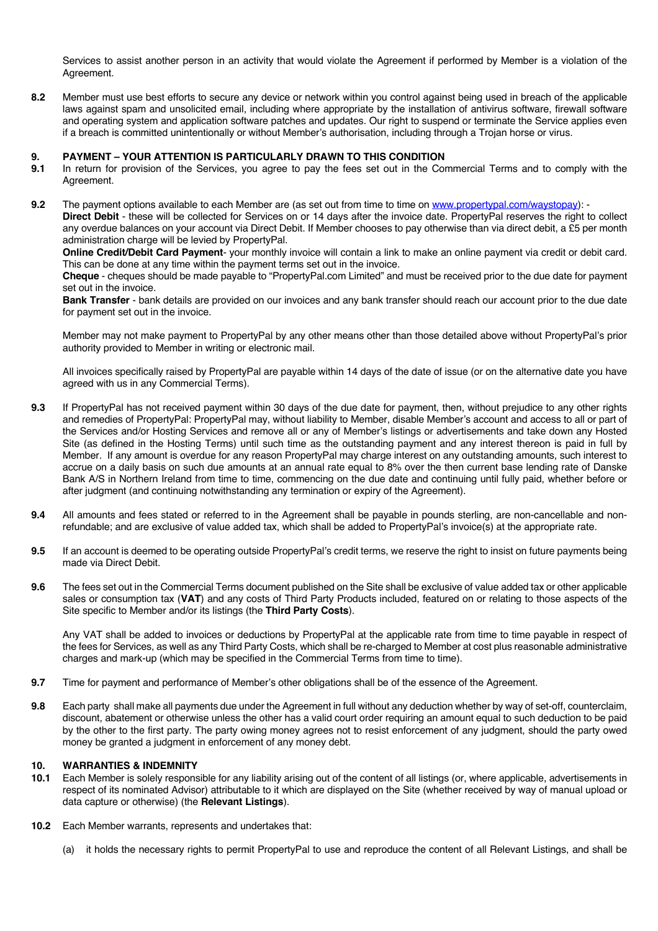Services to assist another person in an activity that would violate the Agreement if performed by Member is a violation of the Agreement.

**8.2** Member must use best efforts to secure any device or network within you control against being used in breach of the applicable laws against spam and unsolicited email, including where appropriate by the installation of antivirus software, firewall software and operating system and application software patches and updates. Our right to suspend or terminate the Service applies even if a breach is committed unintentionally or without Member's authorisation, including through a Trojan horse or virus.

# **9. PAYMENT – YOUR ATTENTION IS PARTICULARLY DRAWN TO THIS CONDITION**

- **9.1** In return for provision of the Services, you agree to pay the fees set out in the Commercial Terms and to comply with the Agreement.
- **9.2** The payment options available to each Member are (as set out from time to time on www.propertypal.com/waystopay): **Direct Debit** - these will be collected for Services on or 14 days after the invoice date. PropertyPal reserves the right to collect any overdue balances on your account via Direct Debit. If Member chooses to pay otherwise than via direct debit, a £5 per month administration charge will be levied by PropertyPal.

**Online Credit/Debit Card Payment**- your monthly invoice will contain a link to make an online payment via credit or debit card. This can be done at any time within the payment terms set out in the invoice.

**Cheque** - cheques should be made payable to "PropertyPal.com Limited" and must be received prior to the due date for payment set out in the invoice.

**Bank Transfer** - bank details are provided on our invoices and any bank transfer should reach our account prior to the due date for payment set out in the invoice.

Member may not make payment to PropertyPal by any other means other than those detailed above without PropertyPal's prior authority provided to Member in writing or electronic mail.

All invoices specifically raised by PropertyPal are payable within 14 days of the date of issue (or on the alternative date you have agreed with us in any Commercial Terms).

- **9.3** If PropertyPal has not received payment within 30 days of the due date for payment, then, without prejudice to any other rights and remedies of PropertyPal: PropertyPal may, without liability to Member, disable Member's account and access to all or part of the Services and/or Hosting Services and remove all or any of Member's listings or advertisements and take down any Hosted Site (as defined in the Hosting Terms) until such time as the outstanding payment and any interest thereon is paid in full by Member. If any amount is overdue for any reason PropertyPal may charge interest on any outstanding amounts, such interest to accrue on a daily basis on such due amounts at an annual rate equal to 8% over the then current base lending rate of Danske Bank A/S in Northern Ireland from time to time, commencing on the due date and continuing until fully paid, whether before or after judgment (and continuing notwithstanding any termination or expiry of the Agreement).
- **9.4** All amounts and fees stated or referred to in the Agreement shall be payable in pounds sterling, are non-cancellable and nonrefundable; and are exclusive of value added tax, which shall be added to PropertyPal's invoice(s) at the appropriate rate.
- **9.5** If an account is deemed to be operating outside PropertyPal's credit terms, we reserve the right to insist on future payments being made via Direct Debit.
- **9.6** The fees set out in the Commercial Terms document published on the Site shall be exclusive of value added tax or other applicable sales or consumption tax (**VAT**) and any costs of Third Party Products included, featured on or relating to those aspects of the Site specific to Member and/or its listings (the **Third Party Costs**).

Any VAT shall be added to invoices or deductions by PropertyPal at the applicable rate from time to time payable in respect of the fees for Services, as well as any Third Party Costs, which shall be re-charged to Member at cost plus reasonable administrative charges and mark-up (which may be specified in the Commercial Terms from time to time).

- **9.7** Time for payment and performance of Member's other obligations shall be of the essence of the Agreement.
- **9.8** Each party shall make all payments due under the Agreement in full without any deduction whether by way of set-off, counterclaim, discount, abatement or otherwise unless the other has a valid court order requiring an amount equal to such deduction to be paid by the other to the first party. The party owing money agrees not to resist enforcement of any judgment, should the party owed money be granted a judgment in enforcement of any money debt.

#### **10. WARRANTIES & INDEMNITY**

- **10.1** Each Member is solely responsible for any liability arising out of the content of all listings (or, where applicable, advertisements in respect of its nominated Advisor) attributable to it which are displayed on the Site (whether received by way of manual upload or data capture or otherwise) (the **Relevant Listings**).
- **10.2** Each Member warrants, represents and undertakes that:
	- (a) it holds the necessary rights to permit PropertyPal to use and reproduce the content of all Relevant Listings, and shall be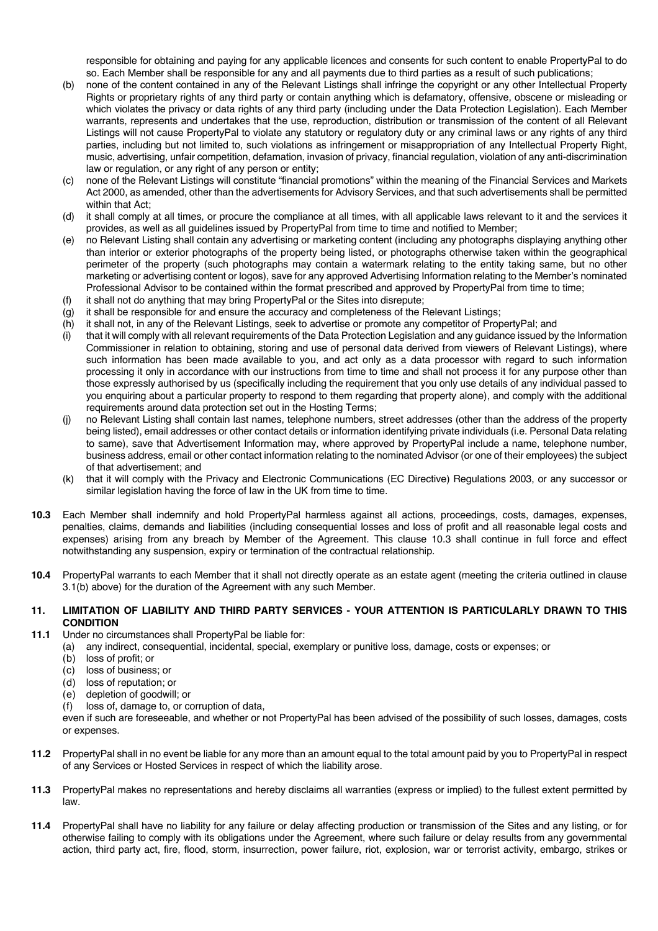responsible for obtaining and paying for any applicable licences and consents for such content to enable PropertyPal to do so. Each Member shall be responsible for any and all payments due to third parties as a result of such publications;

- (b) none of the content contained in any of the Relevant Listings shall infringe the copyright or any other Intellectual Property Rights or proprietary rights of any third party or contain anything which is defamatory, offensive, obscene or misleading or which violates the privacy or data rights of any third party (including under the Data Protection Legislation). Each Member warrants, represents and undertakes that the use, reproduction, distribution or transmission of the content of all Relevant Listings will not cause PropertyPal to violate any statutory or regulatory duty or any criminal laws or any rights of any third parties, including but not limited to, such violations as infringement or misappropriation of any Intellectual Property Right, music, advertising, unfair competition, defamation, invasion of privacy, financial regulation, violation of any anti-discrimination law or regulation, or any right of any person or entity;
- (c) none of the Relevant Listings will constitute "financial promotions" within the meaning of the Financial Services and Markets Act 2000, as amended, other than the advertisements for Advisory Services, and that such advertisements shall be permitted within that Act;
- (d) it shall comply at all times, or procure the compliance at all times, with all applicable laws relevant to it and the services it provides, as well as all guidelines issued by PropertyPal from time to time and notified to Member;
- (e) no Relevant Listing shall contain any advertising or marketing content (including any photographs displaying anything other than interior or exterior photographs of the property being listed, or photographs otherwise taken within the geographical perimeter of the property (such photographs may contain a watermark relating to the entity taking same, but no other marketing or advertising content or logos), save for any approved Advertising Information relating to the Member's nominated Professional Advisor to be contained within the format prescribed and approved by PropertyPal from time to time;
- (f) it shall not do anything that may bring PropertyPal or the Sites into disrepute;
- (g) it shall be responsible for and ensure the accuracy and completeness of the Relevant Listings;
- (h) it shall not, in any of the Relevant Listings, seek to advertise or promote any competitor of PropertyPal; and
- (i) that it will comply with all relevant requirements of the Data Protection Legislation and any guidance issued by the Information Commissioner in relation to obtaining, storing and use of personal data derived from viewers of Relevant Listings), where such information has been made available to you, and act only as a data processor with regard to such information processing it only in accordance with our instructions from time to time and shall not process it for any purpose other than those expressly authorised by us (specifically including the requirement that you only use details of any individual passed to you enquiring about a particular property to respond to them regarding that property alone), and comply with the additional requirements around data protection set out in the Hosting Terms;
- (j) no Relevant Listing shall contain last names, telephone numbers, street addresses (other than the address of the property being listed), email addresses or other contact details or information identifying private individuals (i.e. Personal Data relating to same), save that Advertisement Information may, where approved by PropertyPal include a name, telephone number, business address, email or other contact information relating to the nominated Advisor (or one of their employees) the subject of that advertisement; and
- (k) that it will comply with the Privacy and Electronic Communications (EC Directive) Regulations 2003, or any successor or similar legislation having the force of law in the UK from time to time.
- **10.3** Each Member shall indemnify and hold PropertyPal harmless against all actions, proceedings, costs, damages, expenses, penalties, claims, demands and liabilities (including consequential losses and loss of profit and all reasonable legal costs and expenses) arising from any breach by Member of the Agreement. This clause 10.3 shall continue in full force and effect notwithstanding any suspension, expiry or termination of the contractual relationship.
- **10.4** PropertyPal warrants to each Member that it shall not directly operate as an estate agent (meeting the criteria outlined in clause 3.1(b) above) for the duration of the Agreement with any such Member.

### **11. LIMITATION OF LIABILITY AND THIRD PARTY SERVICES - YOUR ATTENTION IS PARTICULARLY DRAWN TO THIS CONDITION**

- **11.1** Under no circumstances shall PropertyPal be liable for:
	- (a) any indirect, consequential, incidental, special, exemplary or punitive loss, damage, costs or expenses; or
		- (b) loss of profit; or
		- (c) loss of business; or
		- (d) loss of reputation; or
		- (e) depletion of goodwill; or
		- (f) loss of, damage to, or corruption of data,

even if such are foreseeable, and whether or not PropertyPal has been advised of the possibility of such losses, damages, costs or expenses.

- **11.2** PropertyPal shall in no event be liable for any more than an amount equal to the total amount paid by you to PropertyPal in respect of any Services or Hosted Services in respect of which the liability arose.
- **11.3** PropertyPal makes no representations and hereby disclaims all warranties (express or implied) to the fullest extent permitted by law.
- **11.4** PropertyPal shall have no liability for any failure or delay affecting production or transmission of the Sites and any listing, or for otherwise failing to comply with its obligations under the Agreement, where such failure or delay results from any governmental action, third party act, fire, flood, storm, insurrection, power failure, riot, explosion, war or terrorist activity, embargo, strikes or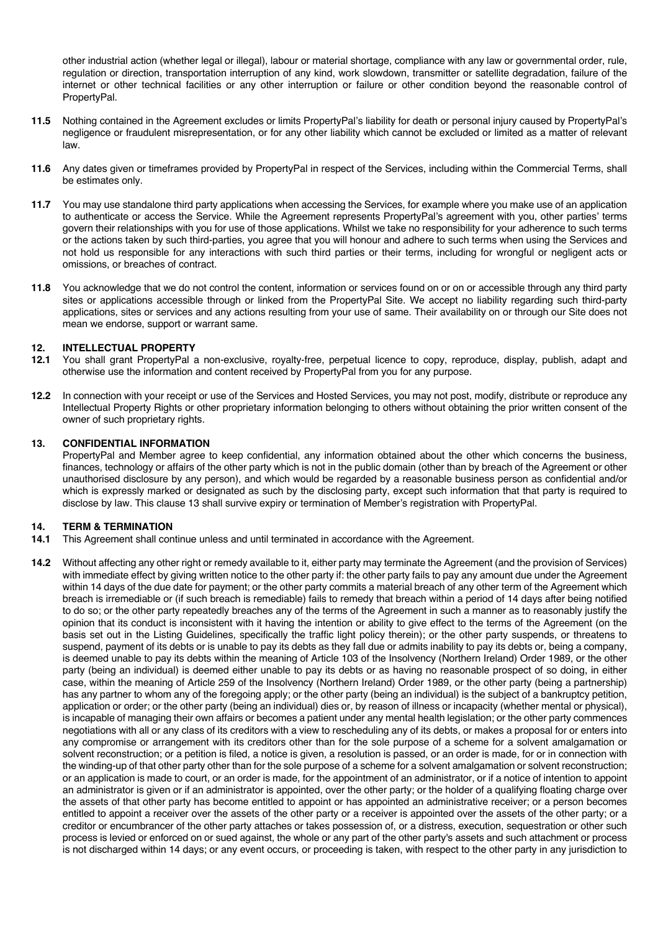other industrial action (whether legal or illegal), labour or material shortage, compliance with any law or governmental order, rule, regulation or direction, transportation interruption of any kind, work slowdown, transmitter or satellite degradation, failure of the internet or other technical facilities or any other interruption or failure or other condition beyond the reasonable control of PropertyPal.

- **11.5** Nothing contained in the Agreement excludes or limits PropertyPal's liability for death or personal injury caused by PropertyPal's negligence or fraudulent misrepresentation, or for any other liability which cannot be excluded or limited as a matter of relevant law.
- **11.6** Any dates given or timeframes provided by PropertyPal in respect of the Services, including within the Commercial Terms, shall be estimates only.
- **11.7** You may use standalone third party applications when accessing the Services, for example where you make use of an application to authenticate or access the Service. While the Agreement represents PropertyPal's agreement with you, other parties' terms govern their relationships with you for use of those applications. Whilst we take no responsibility for your adherence to such terms or the actions taken by such third-parties, you agree that you will honour and adhere to such terms when using the Services and not hold us responsible for any interactions with such third parties or their terms, including for wrongful or negligent acts or omissions, or breaches of contract.
- **11.8** You acknowledge that we do not control the content, information or services found on or on or accessible through any third party sites or applications accessible through or linked from the PropertyPal Site. We accept no liability regarding such third-party applications, sites or services and any actions resulting from your use of same. Their availability on or through our Site does not mean we endorse, support or warrant same.

### **12. INTELLECTUAL PROPERTY**

- **12.1** You shall grant PropertyPal a non-exclusive, royalty-free, perpetual licence to copy, reproduce, display, publish, adapt and otherwise use the information and content received by PropertyPal from you for any purpose.
- **12.2** In connection with your receipt or use of the Services and Hosted Services, you may not post, modify, distribute or reproduce any Intellectual Property Rights or other proprietary information belonging to others without obtaining the prior written consent of the owner of such proprietary rights.

### **13. CONFIDENTIAL INFORMATION**

PropertyPal and Member agree to keep confidential, any information obtained about the other which concerns the business, finances, technology or affairs of the other party which is not in the public domain (other than by breach of the Agreement or other unauthorised disclosure by any person), and which would be regarded by a reasonable business person as confidential and/or which is expressly marked or designated as such by the disclosing party, except such information that that party is required to disclose by law. This clause 13 shall survive expiry or termination of Member's registration with PropertyPal.

#### **14. TERM & TERMINATION**

- **14.1** This Agreement shall continue unless and until terminated in accordance with the Agreement.
- **14.2** Without affecting any other right or remedy available to it, either party may terminate the Agreement (and the provision of Services) with immediate effect by giving written notice to the other party if: the other party fails to pay any amount due under the Agreement within 14 days of the due date for payment; or the other party commits a material breach of any other term of the Agreement which breach is irremediable or (if such breach is remediable) fails to remedy that breach within a period of 14 days after being notified to do so; or the other party repeatedly breaches any of the terms of the Agreement in such a manner as to reasonably justify the opinion that its conduct is inconsistent with it having the intention or ability to give effect to the terms of the Agreement (on the basis set out in the Listing Guidelines, specifically the traffic light policy therein); or the other party suspends, or threatens to suspend, payment of its debts or is unable to pay its debts as they fall due or admits inability to pay its debts or, being a company, is deemed unable to pay its debts within the meaning of Article 103 of the Insolvency (Northern Ireland) Order 1989, or the other party (being an individual) is deemed either unable to pay its debts or as having no reasonable prospect of so doing, in either case, within the meaning of Article 259 of the Insolvency (Northern Ireland) Order 1989, or the other party (being a partnership) has any partner to whom any of the foregoing apply; or the other party (being an individual) is the subject of a bankruptcy petition, application or order; or the other party (being an individual) dies or, by reason of illness or incapacity (whether mental or physical), is incapable of managing their own affairs or becomes a patient under any mental health legislation; or the other party commences negotiations with all or any class of its creditors with a view to rescheduling any of its debts, or makes a proposal for or enters into any compromise or arrangement with its creditors other than for the sole purpose of a scheme for a solvent amalgamation or solvent reconstruction; or a petition is filed, a notice is given, a resolution is passed, or an order is made, for or in connection with the winding-up of that other party other than for the sole purpose of a scheme for a solvent amalgamation or solvent reconstruction; or an application is made to court, or an order is made, for the appointment of an administrator, or if a notice of intention to appoint an administrator is given or if an administrator is appointed, over the other party; or the holder of a qualifying floating charge over the assets of that other party has become entitled to appoint or has appointed an administrative receiver; or a person becomes entitled to appoint a receiver over the assets of the other party or a receiver is appointed over the assets of the other party; or a creditor or encumbrancer of the other party attaches or takes possession of, or a distress, execution, sequestration or other such process is levied or enforced on or sued against, the whole or any part of the other party's assets and such attachment or process is not discharged within 14 days; or any event occurs, or proceeding is taken, with respect to the other party in any jurisdiction to